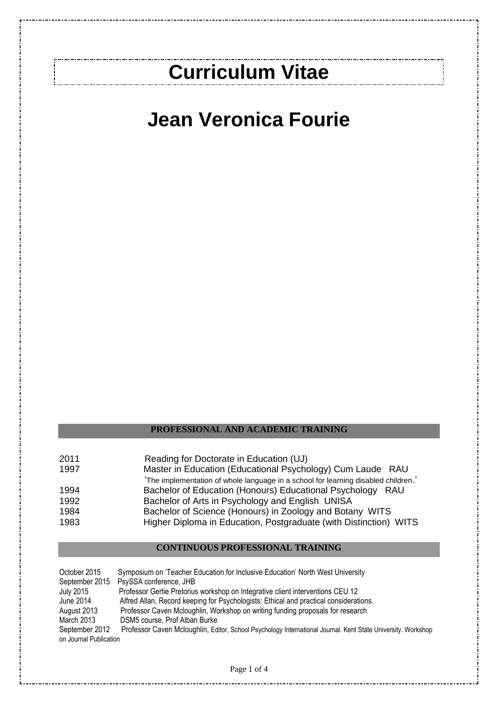# **Curriculum Vitae**

.................................

# **Jean Veronica Fourie**

### **PROFESSIONAL AND ACADEMIC TRAINING**

| 2011 | Reading for Doctorate in Education (UJ)                                            |
|------|------------------------------------------------------------------------------------|
| 1997 | Master in Education (Educational Psychology) Cum Laude RAU                         |
|      | 'The implementation of whole language in a school for learning disabled children.' |
| 1994 | Bachelor of Education (Honours) Educational Psychology RAU                         |
| 1992 | Bachelor of Arts in Psychology and English UNISA                                   |
| 1984 | Bachelor of Science (Honours) in Zoology and Botany WITS                           |
| 1983 | Higher Diploma in Education, Postgraduate (with Distinction) WITS                  |

#### **CONTINUOUS PROFESSIONAL TRAINING**

October 2015 Symposium on 'Teacher Education for Inclusive Education' North West University September 2015 PsySSA conference, JHB<br>July 2015 Professor Gertie Pretorius Professor Gertie Pretorius workshop on Integrative client interventions CEU 12 June 2014 Alfred Allan, Record keeping for Psychologists: Ethical and practical considerations. August 2013 Professor Caven Mcloughlin, Workshop on writing funding proposals for research<br>March 2013 DSM5 course, Prof Alban Burke March 2013 DSM5 course, Prof Alban Burke<br>September 2012 Professor Caven Mcloughlin. Ed Professor Caven Mcloughlin, Editor, School Psychology International Journal. Kent State University. Workshop on Journal Publication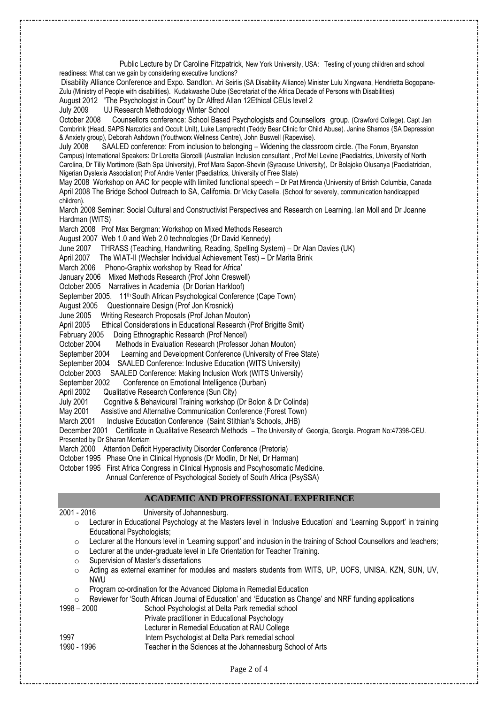Public Lecture by Dr Caroline Fitzpatrick, New York University, USA: Testing of young children and school readiness: What can we gain by considering executive functions? Disability Alliance Conference and Expo. Sandton. Ari Seirlis (SA Disability Alliance) Minister Lulu Xingwana, Hendrietta Bogopane-Zulu (Ministry of People with disabilities). Kudakwashe Dube (Secretariat of the Africa Decade of Persons with Disabilities) August 2012 "The Psychologist in Court" by Dr Alfred Allan 12Ethical CEUs level 2 July 2009 UJ Research Methodology Winter School October 2008 Counsellors conference: School Based Psychologists and Counsellors group. (Crawford College). Capt Jan Combrink (Head, SAPS Narcotics and Occult Unit), Luke Lamprecht (Teddy Bear Clinic for Child Abuse). Janine Shamos (SA Depression & Anxiety group), Deborah Ashdown (Youthworx Wellness Centre), John Buswell (Rapewise). July 2008 SAALED conference: From inclusion to belonging – Widening the classroom circle. (The Forum, Bryanston Campus) International Speakers: Dr Loretta Giorcelli (Australian Inclusion consultant , Prof Mel Levine (Paediatrics, University of North Carolina, Dr Tilly Mortimore (Bath Spa University), Prof Mara Sapon-Shevin (Syracuse University), Dr Bolajoko Olusanya (Paediatrician, Nigerian Dyslexia Association) Prof Andre Venter (Paediatrics, University of Free State) May 2008 Workshop on AAC for people with limited functional speech – Dr Pat Mirenda (University of British Columbia, Canada April 2008 The Bridge School Outreach to SA, California. Dr Vicky Casella. (School for severely, communication handicapped children). March 2008 Seminar: Social Cultural and Constructivist Perspectives and Research on Learning. Ian Moll and Dr Joanne Hardman (WITS) March 2008 Prof Max Bergman: Workshop on Mixed Methods Research August 2007 Web 1.0 and Web 2.0 technologies (Dr David Kennedy) June 2007 THRASS (Teaching, Handwriting, Reading, Spelling System) – Dr Alan Davies (UK) April 2007 The WIAT-II (Wechsler Individual Achievement Test) – Dr Marita Brink March 2006 Phono-Graphix workshop by 'Read for Africa' January 2006 Mixed Methods Research (Prof John Creswell) October 2005 Narratives in Academia (Dr Dorian Harkloof) September 2005. 11<sup>th</sup> South African Psychological Conference (Cape Town) August 2005 Questionnaire Design (Prof Jon Krosnick) June 2005 Writing Research Proposals (Prof Johan Mouton) April 2005 Ethical Considerations in Educational Research (Prof Brigitte Smit) February 2005 Doing Ethnographic Research (Prof Nencel) October 2004 Methods in Evaluation Research (Professor Johan Mouton) September 2004 Learning and Development Conference (University of Free State) September 2004 SAALED Conference: Inclusive Education (WITS University) October 2003 SAALED Conference: Making Inclusion Work (WITS University) September 2002 Conference on Emotional Intelligence (Durban) April 2002 Qualitative Research Conference (Sun City) July 2001 Cognitive & Behavioural Training workshop (Dr Bolon & Dr Colinda) May 2001 Assistive and Alternative Communication Conference (Forest Town) March 2001 Inclusive Education Conference (Saint Stithian's Schools, JHB) December 2001 Certificate in Qualitative Research Methods – The University of Georgia, Georgia. Program No:47398-CEU. Presented by Dr Sharan Merriam March 2000 Attention Deficit Hyperactivity Disorder Conference (Pretoria) October 1995 Phase One in Clinical Hypnosis (Dr Modlin, Dr Nel, Dr Harman) October 1995 First Africa Congress in Clinical Hypnosis and Pscyhosomatic Medicine. Annual Conference of Psychological Society of South Africa (PsySSA) **ACADEMIC AND PROFESSIONAL EXPERIENCE** 2001 - 2016 University of Johannesburg. o Lecturer in Educational Psychology at the Masters level in 'Inclusive Education' and 'Learning Support' in training Educational Psychologists;  $\circ$  Lecturer at the Honours level in 'Learning support' and inclusion in the training of School Counsellors and teachers; o Lecturer at the under-graduate level in Life Orientation for Teacher Training. o Supervision of Master's dissertations

- 
- o Acting as external examiner for modules and masters students from WITS, UP, UOFS, UNISA, KZN, SUN, UV, NWU
- o Program co-ordination for the Advanced Diploma in Remedial Education
- o Reviewer for 'South African Journal of Education' and 'Education as Change' and NRF funding applications

- 1998 2000 School Psychologist at Delta Park remedial school Private practitioner in Educational Psychology
	- Lecturer in Remedial Education at RAU College
- 1997 Intern Psychologist at Delta Park remedial school
- 1990 1996 Teacher in the Sciences at the Johannesburg School of Arts

Page 2 of 4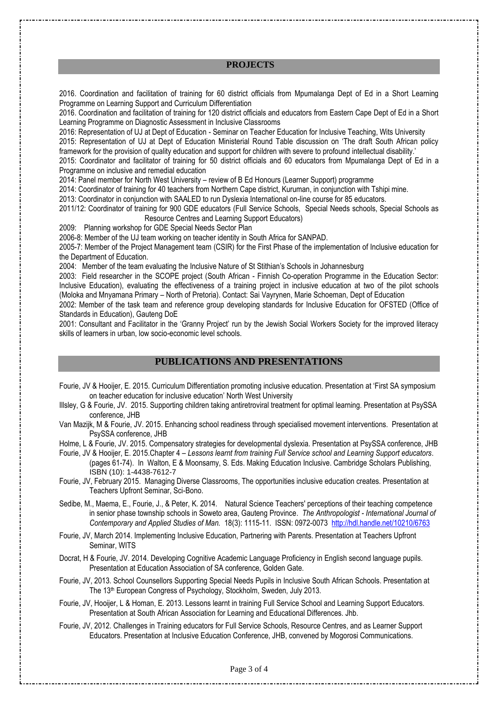#### **PROJECTS**

2016. Coordination and facilitation of training for 60 district officials from Mpumalanga Dept of Ed in a Short Learning Programme on Learning Support and Curriculum Differentiation

2016. Coordination and facilitation of training for 120 district officials and educators from Eastern Cape Dept of Ed in a Short Learning Programme on Diagnostic Assessment in Inclusive Classrooms

2016: Representation of UJ at Dept of Education - Seminar on Teacher Education for Inclusive Teaching, Wits University 2015: Representation of UJ at Dept of Education Ministerial Round Table discussion on 'The draft South African policy

framework for the provision of quality education and support for children with severe to profound intellectual disability.' 2015: Coordinator and facilitator of training for 50 district officials and 60 educators from Mpumalanga Dept of Ed in a

Programme on inclusive and remedial education

2014: Panel member for North West University – review of B Ed Honours (Learner Support) programme

2014: Coordinator of training for 40 teachers from Northern Cape district, Kuruman, in conjunction with Tshipi mine.

2013: Coordinator in conjunction with SAALED to run Dyslexia International on-line course for 85 educators.

2011/12: Coordinator of training for 900 GDE educators (Full Service Schools, Special Needs schools, Special Schools as Resource Centres and Learning Support Educators)

2009: Planning workshop for GDE Special Needs Sector Plan

2006-8: Member of the UJ team working on teacher identity in South Africa for SANPAD.

2005-7: Member of the Project Management team (CSIR) for the First Phase of the implementation of Inclusive education for the Department of Education.

2004: Member of the team evaluating the Inclusive Nature of St Stithian's Schools in Johannesburg

2003: Field researcher in the SCOPE project (South African - Finnish Co-operation Programme in the Education Sector: Inclusive Education), evaluating the effectiveness of a training project in inclusive education at two of the pilot schools (Moloka and Mnyamana Primary – North of Pretoria). Contact: Sai Vayrynen, Marie Schoeman, Dept of Education

2002: Member of the task team and reference group developing standards for Inclusive Education for OFSTED (Office of Standards in Education), Gauteng DoE

2001: Consultant and Facilitator in the 'Granny Project' run by the Jewish Social Workers Society for the improved literacy skills of learners in urban, low socio-economic level schools.

## **PUBLICATIONS AND PRESENTATIONS**

Fourie, JV & Hooijer, E. 2015. Curriculum Differentiation promoting inclusive education. Presentation at 'First SA symposium on teacher education for inclusive education' North West University

Illsley, G & Fourie, JV. 2015. Supporting children taking antiretroviral treatment for optimal learning. Presentation at PsySSA conference, JHB

Van Mazijk, M & Fourie, JV. 2015. Enhancing school readiness through specialised movement interventions. Presentation at PsySSA conference, JHB

Holme, L & Fourie, JV. 2015. Compensatory strategies for developmental dyslexia. Presentation at PsySSA conference, JHB

Fourie, JV & Hooijer, E. 2015.Chapter 4 *– Lessons learnt from training Full Service school and Learning Support educators*. (pages 61-74). In Walton, E & Moonsamy, S. Eds. Making Education Inclusive. Cambridge Scholars Publishing, ISBN (10): 1-4438-7612-7

Fourie, JV, February 2015. Managing Diverse Classrooms, The opportunities inclusive education creates. Presentation at Teachers Upfront Seminar, Sci-Bono.

Sedibe, M., Maema, E., Fourie, J., & Peter, K. 2014. Natural Science Teachers' perceptions of their teaching competence in senior phase township schools in Soweto area, Gauteng Province. *The Anthropologist - International Journal of Contemporary and Applied Studies of Man.* 18(3): 1115-11. ISSN: 0972-0073<http://hdl.handle.net/10210/6763>

Fourie, JV, March 2014. Implementing Inclusive Education, Partnering with Parents. Presentation at Teachers Upfront Seminar, WITS

Docrat, H & Fourie, JV. 2014. Developing Cognitive Academic Language Proficiency in English second language pupils. Presentation at Education Association of SA conference, Golden Gate.

Fourie, JV, 2013. School Counsellors Supporting Special Needs Pupils in Inclusive South African Schools. Presentation at The 13<sup>th</sup> European Congress of Psychology, Stockholm, Sweden, July 2013.

Fourie, JV, Hooijer, L & Homan, E. 2013. Lessons learnt in training Full Service School and Learning Support Educators. Presentation at South African Association for Learning and Educational Differences. Jhb.

Fourie, JV, 2012. Challenges in Training educators for Full Service Schools, Resource Centres, and as Learner Support Educators. Presentation at Inclusive Education Conference, JHB, convened by Mogorosi Communications.